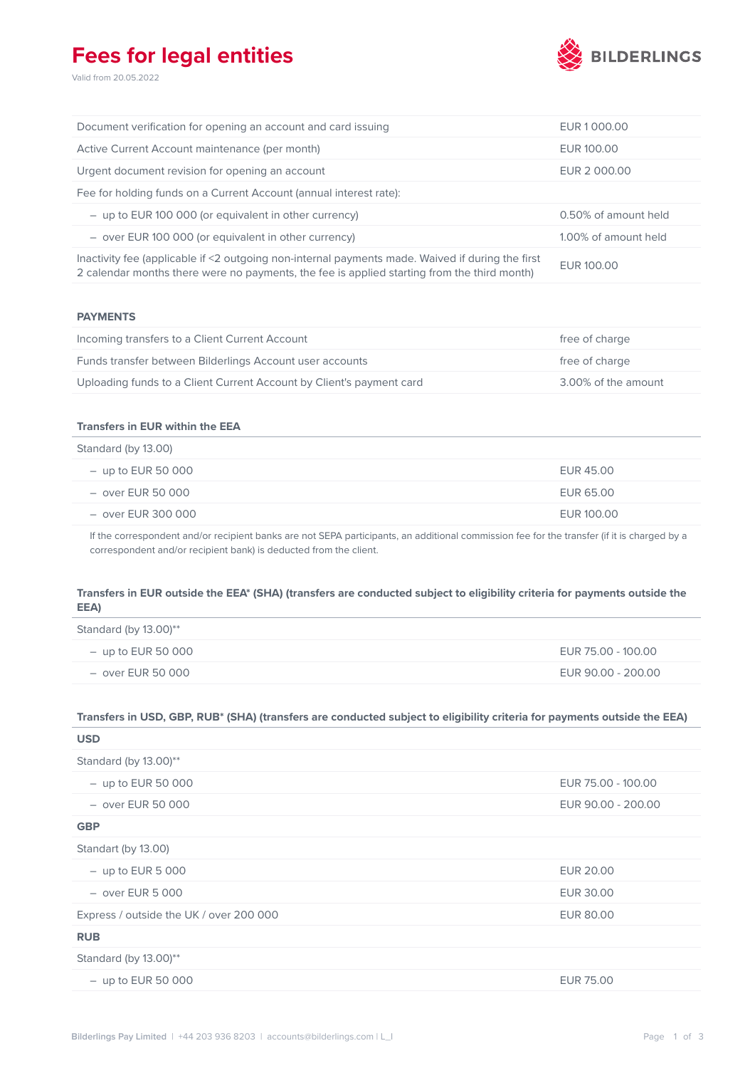## **Fees for legal entities**

Valid from 20.05.2022



| Document verification for opening an account and card issuing                                                                                                                                   | EUR 1000.00          |
|-------------------------------------------------------------------------------------------------------------------------------------------------------------------------------------------------|----------------------|
| Active Current Account maintenance (per month)                                                                                                                                                  | EUR 100.00           |
| Urgent document revision for opening an account                                                                                                                                                 | EUR 2 000.00         |
| Fee for holding funds on a Current Account (annual interest rate):                                                                                                                              |                      |
| $-$ up to EUR 100 000 (or equivalent in other currency)                                                                                                                                         | 0.50% of amount held |
| $-$ over EUR 100 000 (or equivalent in other currency)                                                                                                                                          | 1.00% of amount held |
| Inactivity fee (applicable if <2 outgoing non-internal payments made. Waived if during the first<br>2 calendar months there were no payments, the fee is applied starting from the third month) | EUR 100.00           |

#### **PAYMENTS**

| Incoming transfers to a Client Current Account                       | free of charge      |
|----------------------------------------------------------------------|---------------------|
| Funds transfer between Bilderlings Account user accounts             | free of charge      |
| Uploading funds to a Client Current Account by Client's payment card | 3.00% of the amount |

### **Transfers in EUR within the EEA**

| Standard (by 13.00)  |            |
|----------------------|------------|
| $-$ up to EUR 50 000 | EUR 45.00  |
| – over EUR 50 000    | EUR 65.00  |
| – over EUR 300 000   | EUR 100.00 |

If the correspondent and/or recipient banks are not SEPA participants, an additional commission fee for the transfer (if it is charged by a correspondent and/or recipient bank) is deducted from the client.

## **Transfers in EUR outside the EEA\* (SHA) (transfers are conducted subject to eligibility criteria for payments outside the EEA)**

| Standard (by $13.00$ )** |                    |
|--------------------------|--------------------|
| $-$ up to EUR 50 000     | EUR 75.00 - 100.00 |
| $-$ over EUR 50 000      | EUR 90.00 - 200.00 |

## **Transfers in USD, GBP, RUB\* (SHA) (transfers are conducted subject to eligibility criteria for payments outside the EEA)**

| <b>USD</b>                              |                    |
|-----------------------------------------|--------------------|
| Standard (by 13.00)**                   |                    |
| $-$ up to EUR 50 000                    | EUR 75.00 - 100.00 |
| $-$ over EUR 50 000                     | EUR 90.00 - 200.00 |
| <b>GBP</b>                              |                    |
| Standart (by 13.00)                     |                    |
| $-$ up to EUR 5 000                     | <b>EUR 20.00</b>   |
| $-$ over EUR 5 000                      | EUR 30.00          |
| Express / outside the UK / over 200 000 | <b>EUR 80.00</b>   |
| <b>RUB</b>                              |                    |
| Standard (by 13.00)**                   |                    |
| $-$ up to EUR 50 000                    | <b>EUR 75.00</b>   |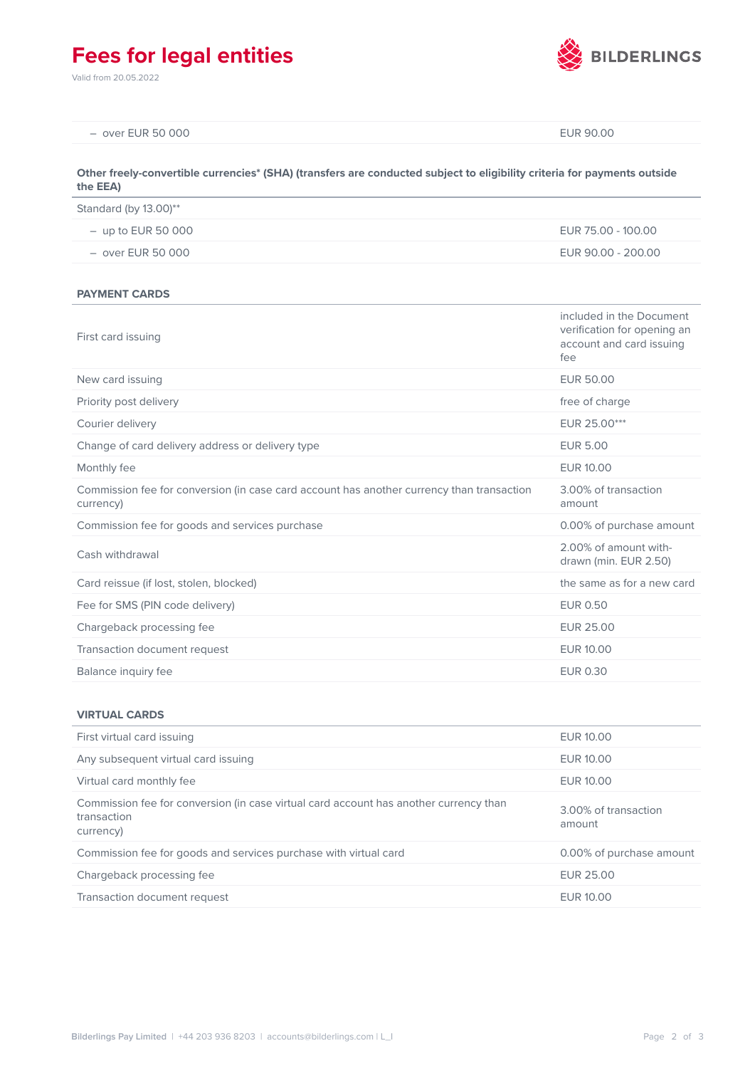# **Fees for legal entities**

Valid from 20.05.2022



| $-$ over EUR 50 000                                                                                                                  | EUR 90.00          |
|--------------------------------------------------------------------------------------------------------------------------------------|--------------------|
| Other freely-convertible currencies* (SHA) (transfers are conducted subject to eligibility criteria for payments outside<br>the EEA) |                    |
| Standard (by 13.00)**                                                                                                                |                    |
| $-$ up to EUR 50 000                                                                                                                 | EUR 75.00 - 100.00 |
| $-$ over EUR 50 000                                                                                                                  | EUR 90.00 - 200.00 |

**PAYMENT CARDS**

| First card issuing                                                                                     | included in the Document<br>verification for opening an<br>account and card issuing<br>fee |
|--------------------------------------------------------------------------------------------------------|--------------------------------------------------------------------------------------------|
| New card issuing                                                                                       | <b>EUR 50.00</b>                                                                           |
| Priority post delivery                                                                                 | free of charge                                                                             |
| Courier delivery                                                                                       | EUR 25.00***                                                                               |
| Change of card delivery address or delivery type                                                       | <b>EUR 5.00</b>                                                                            |
| Monthly fee                                                                                            | EUR 10.00                                                                                  |
| Commission fee for conversion (in case card account has another currency than transaction<br>currency) | 3.00% of transaction<br>amount                                                             |
| Commission fee for goods and services purchase                                                         | 0.00% of purchase amount                                                                   |
| Cash withdrawal                                                                                        | 2.00% of amount with-<br>drawn (min. EUR 2.50)                                             |
| Card reissue (if lost, stolen, blocked)                                                                | the same as for a new card                                                                 |
| Fee for SMS (PIN code delivery)                                                                        | <b>EUR 0.50</b>                                                                            |
| Chargeback processing fee                                                                              | <b>EUR 25.00</b>                                                                           |
| Transaction document request                                                                           | EUR 10.00                                                                                  |
| Balance inquiry fee                                                                                    | <b>EUR 0.30</b>                                                                            |

### **VIRTUAL CARDS**

| First virtual card issuing                                                                                        | EUR 10.00                      |
|-------------------------------------------------------------------------------------------------------------------|--------------------------------|
| Any subsequent virtual card issuing                                                                               | EUR 10.00                      |
| Virtual card monthly fee                                                                                          | EUR 10.00                      |
| Commission fee for conversion (in case virtual card account has another currency than<br>transaction<br>currency) | 3.00% of transaction<br>amount |
| Commission fee for goods and services purchase with virtual card                                                  | 0.00% of purchase amount       |
| Chargeback processing fee                                                                                         | EUR 25.00                      |
| Transaction document request                                                                                      | EUR 10.00                      |
|                                                                                                                   |                                |